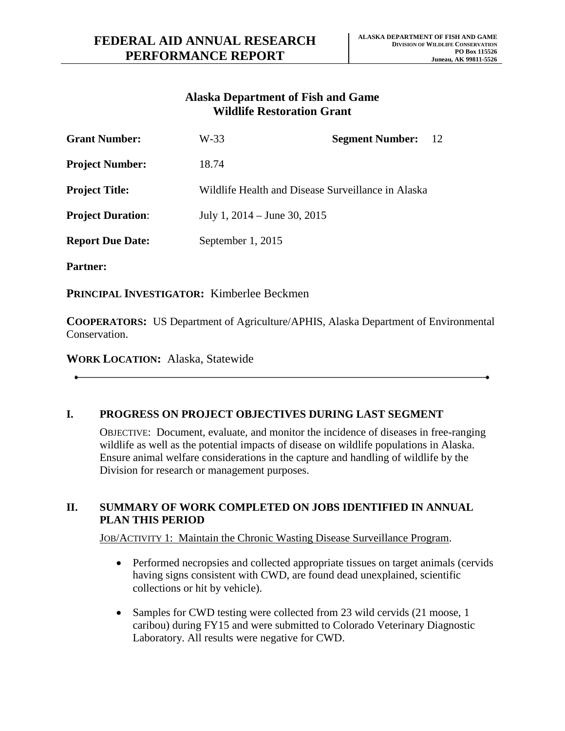# **Alaska Department of Fish and Game Wildlife Restoration Grant**

| <b>Grant Number:</b>     | W-33                                               | <b>Segment Number:</b> | 12 |
|--------------------------|----------------------------------------------------|------------------------|----|
| <b>Project Number:</b>   | 18.74                                              |                        |    |
| <b>Project Title:</b>    | Wildlife Health and Disease Surveillance in Alaska |                        |    |
| <b>Project Duration:</b> | July 1, $2014 -$ June 30, $2015$                   |                        |    |
| <b>Report Due Date:</b>  | September 1, 2015                                  |                        |    |
|                          |                                                    |                        |    |

**Partner:**

**PRINCIPAL INVESTIGATOR:** Kimberlee Beckmen

**COOPERATORS:** US Department of Agriculture/APHIS, Alaska Department of Environmental Conservation.

**WORK LOCATION:** Alaska, Statewide

# **I. PROGRESS ON PROJECT OBJECTIVES DURING LAST SEGMENT**

OBJECTIVE: Document, evaluate, and monitor the incidence of diseases in free-ranging wildlife as well as the potential impacts of disease on wildlife populations in Alaska. Ensure animal welfare considerations in the capture and handling of wildlife by the Division for research or management purposes.

### **II. SUMMARY OF WORK COMPLETED ON JOBS IDENTIFIED IN ANNUAL PLAN THIS PERIOD**

JOB/ACTIVITY 1: Maintain the Chronic Wasting Disease Surveillance Program.

- Performed necropsies and collected appropriate tissues on target animals (cervids having signs consistent with CWD, are found dead unexplained, scientific collections or hit by vehicle).
- Samples for CWD testing were collected from 23 wild cervids (21 moose, 1) caribou) during FY15 and were submitted to Colorado Veterinary Diagnostic Laboratory. All results were negative for CWD.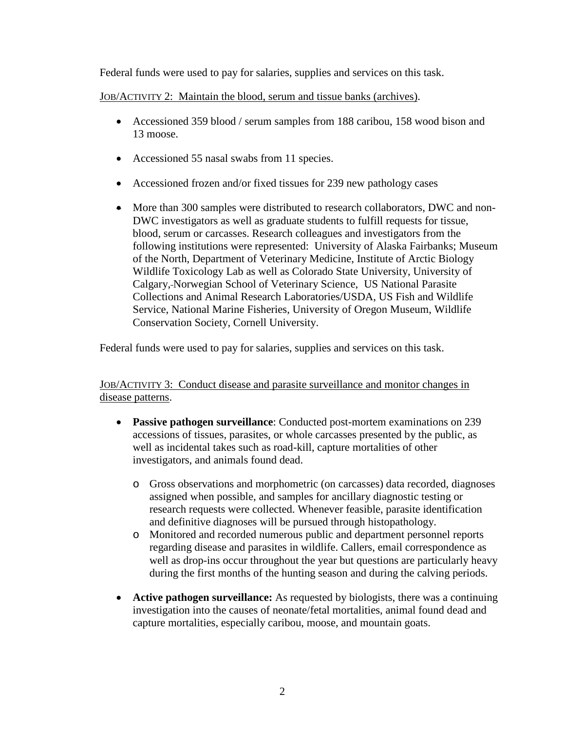Federal funds were used to pay for salaries, supplies and services on this task.

JOB/ACTIVITY 2: Maintain the blood, serum and tissue banks (archives).

- Accessioned 359 blood / serum samples from 188 caribou, 158 wood bison and 13 moose.
- Accessioned 55 nasal swabs from 11 species.
- Accessioned frozen and/or fixed tissues for 239 new pathology cases
- More than 300 samples were distributed to research collaborators, DWC and non-DWC investigators as well as graduate students to fulfill requests for tissue, blood, serum or carcasses. Research colleagues and investigators from the following institutions were represented: University of Alaska Fairbanks; Museum of the North, Department of Veterinary Medicine, Institute of Arctic Biology Wildlife Toxicology Lab as well as Colorado State University, University of Calgary, Norwegian School of Veterinary Science, US National Parasite Collections and Animal Research Laboratories/USDA, US Fish and Wildlife Service, National Marine Fisheries, University of Oregon Museum, Wildlife Conservation Society, Cornell University.

Federal funds were used to pay for salaries, supplies and services on this task.

JOB/ACTIVITY 3: Conduct disease and parasite surveillance and monitor changes in disease patterns.

- **Passive pathogen surveillance**: Conducted post-mortem examinations on 239 accessions of tissues, parasites, or whole carcasses presented by the public, as well as incidental takes such as road-kill, capture mortalities of other investigators, and animals found dead.
	- o Gross observations and morphometric (on carcasses) data recorded, diagnoses assigned when possible, and samples for ancillary diagnostic testing or research requests were collected. Whenever feasible, parasite identification and definitive diagnoses will be pursued through histopathology.
	- o Monitored and recorded numerous public and department personnel reports regarding disease and parasites in wildlife. Callers, email correspondence as well as drop-ins occur throughout the year but questions are particularly heavy during the first months of the hunting season and during the calving periods.
- **Active pathogen surveillance:** As requested by biologists, there was a continuing investigation into the causes of neonate/fetal mortalities, animal found dead and capture mortalities, especially caribou, moose, and mountain goats.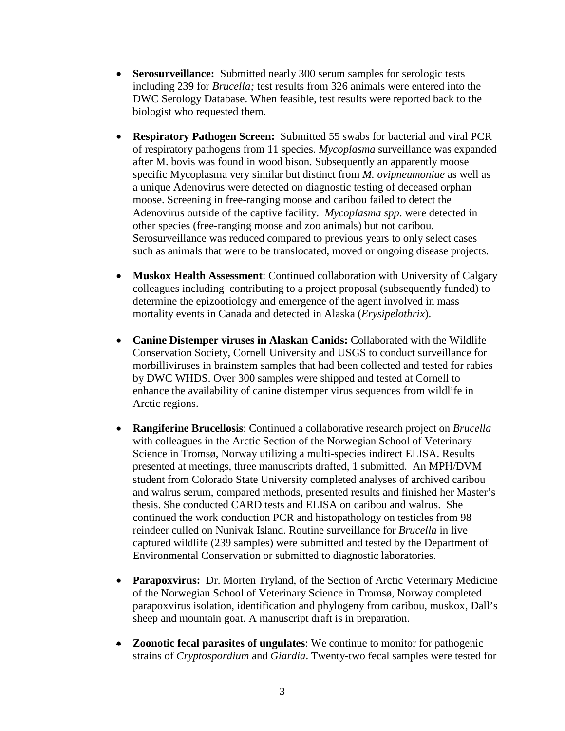- **Serosurveillance:** Submitted nearly 300 serum samples for serologic tests including 239 for *Brucella;* test results from 326 animals were entered into the DWC Serology Database. When feasible, test results were reported back to the biologist who requested them.
- **Respiratory Pathogen Screen:** Submitted 55 swabs for bacterial and viral PCR of respiratory pathogens from 11 species. *Mycoplasma* surveillance was expanded after M. bovis was found in wood bison. Subsequently an apparently moose specific Mycoplasma very similar but distinct from *M. ovipneumoniae* as well as a unique Adenovirus were detected on diagnostic testing of deceased orphan moose. Screening in free-ranging moose and caribou failed to detect the Adenovirus outside of the captive facility. *Mycoplasma spp*. were detected in other species (free-ranging moose and zoo animals) but not caribou. Serosurveillance was reduced compared to previous years to only select cases such as animals that were to be translocated, moved or ongoing disease projects.
- **Muskox Health Assessment**: Continued collaboration with University of Calgary colleagues including contributing to a project proposal (subsequently funded) to determine the epizootiology and emergence of the agent involved in mass mortality events in Canada and detected in Alaska (*Erysipelothrix*).
- **Canine Distemper viruses in Alaskan Canids:** Collaborated with the Wildlife Conservation Society, Cornell University and USGS to conduct surveillance for morbilliviruses in brainstem samples that had been collected and tested for rabies by DWC WHDS. Over 300 samples were shipped and tested at Cornell to enhance the availability of canine distemper virus sequences from wildlife in Arctic regions.
- **Rangiferine Brucellosis**: Continued a collaborative research project on *Brucella*  with colleagues in the Arctic Section of the Norwegian School of Veterinary Science in Tromsø, Norway utilizing a multi-species indirect ELISA. Results presented at meetings, three manuscripts drafted, 1 submitted. An MPH/DVM student from Colorado State University completed analyses of archived caribou and walrus serum, compared methods, presented results and finished her Master's thesis. She conducted CARD tests and ELISA on caribou and walrus. She continued the work conduction PCR and histopathology on testicles from 98 reindeer culled on Nunivak Island. Routine surveillance for *Brucella* in live captured wildlife (239 samples) were submitted and tested by the Department of Environmental Conservation or submitted to diagnostic laboratories.
- **Parapoxvirus:** Dr. Morten Tryland, of the Section of Arctic Veterinary Medicine of the Norwegian School of Veterinary Science in Tromsø, Norway completed parapoxvirus isolation, identification and phylogeny from caribou, muskox, Dall's sheep and mountain goat. A manuscript draft is in preparation.
- **Zoonotic fecal parasites of ungulates**: We continue to monitor for pathogenic strains of *Cryptospordium* and *Giardia*. Twenty-two fecal samples were tested for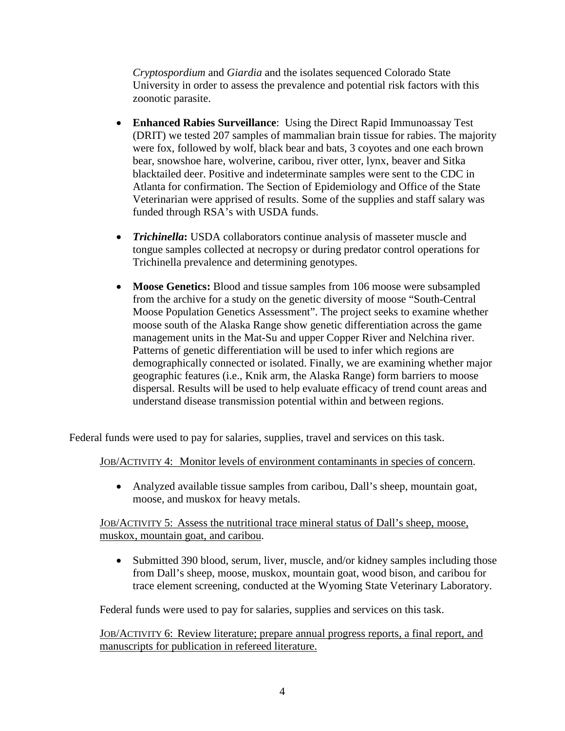*Cryptospordium* and *Giardia* and the isolates sequenced Colorado State University in order to assess the prevalence and potential risk factors with this zoonotic parasite.

- **Enhanced Rabies Surveillance**: Using the Direct Rapid Immunoassay Test (DRIT) we tested 207 samples of mammalian brain tissue for rabies. The majority were fox, followed by wolf, black bear and bats, 3 coyotes and one each brown bear, snowshoe hare, wolverine, caribou, river otter, lynx, beaver and Sitka blacktailed deer. Positive and indeterminate samples were sent to the CDC in Atlanta for confirmation. The Section of Epidemiology and Office of the State Veterinarian were apprised of results. Some of the supplies and staff salary was funded through RSA's with USDA funds.
- *Trichinella*: USDA collaborators continue analysis of masseter muscle and tongue samples collected at necropsy or during predator control operations for Trichinella prevalence and determining genotypes.
- **Moose Genetics:** Blood and tissue samples from 106 moose were subsampled from the archive for a study on the genetic diversity of moose "South-Central Moose Population Genetics Assessment". The project seeks to examine whether moose south of the Alaska Range show genetic differentiation across the game management units in the Mat-Su and upper Copper River and Nelchina river. Patterns of genetic differentiation will be used to infer which regions are demographically connected or isolated. Finally, we are examining whether major geographic features (i.e., Knik arm, the Alaska Range) form barriers to moose dispersal. Results will be used to help evaluate efficacy of trend count areas and understand disease transmission potential within and between regions.

Federal funds were used to pay for salaries, supplies, travel and services on this task.

#### JOB/ACTIVITY 4: Monitor levels of environment contaminants in species of concern.

• Analyzed available tissue samples from caribou, Dall's sheep, mountain goat, moose, and muskox for heavy metals.

### JOB/ACTIVITY 5: Assess the nutritional trace mineral status of Dall's sheep, moose, muskox, mountain goat, and caribou.

• Submitted 390 blood, serum, liver, muscle, and/or kidney samples including those from Dall's sheep, moose, muskox, mountain goat, wood bison, and caribou for trace element screening, conducted at the Wyoming State Veterinary Laboratory.

Federal funds were used to pay for salaries, supplies and services on this task.

JOB/ACTIVITY 6: Review literature; prepare annual progress reports, a final report, and manuscripts for publication in refereed literature.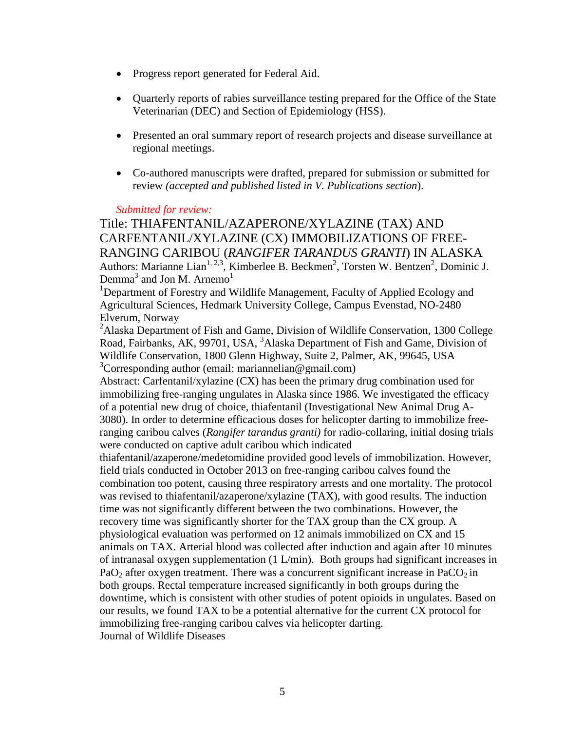- Progress report generated for Federal Aid.
- Quarterly reports of rabies surveillance testing prepared for the Office of the State Veterinarian (DEC) and Section of Epidemiology (HSS).
- Presented an oral summary report of research projects and disease surveillance at regional meetings.
- Co-authored manuscripts were drafted, prepared for submission or submitted for review *(accepted and published listed in V. Publications section*).

#### *Submitted for review:*

Title: THIAFENTANIL/AZAPERONE/XYLAZINE (TAX) AND CARFENTANIL/XYLAZINE (CX) IMMOBILIZATIONS OF FREE-RANGING CARIBOU (*RANGIFER TARANDUS GRANTI*) IN ALASKA Authors: Marianne Lian<sup>1, 2,3</sup>, Kimberlee B. Beckmen<sup>2</sup>, Torsten W. Bentzen<sup>2</sup>, Dominic J. Demma<sup>3</sup> and Jon M. Arnemo<sup>1</sup>

<sup>1</sup>Department of Forestry and Wildlife Management, Faculty of Applied Ecology and Agricultural Sciences, Hedmark University College, Campus Evenstad, NO-2480 Elverum, Norway

<sup>2</sup>Alaska Department of Fish and Game, Division of Wildlife Conservation, 1300 College Road, Fairbanks, AK, 99701, USA, <sup>3</sup>Alaska Department of Fish and Game, Division of Wildlife Conservation, 1800 Glenn Highway, Suite 2, Palmer, AK, 99645, USA <sup>3</sup>Corresponding author (email: mariannelian@gmail.com)

Abstract: Carfentanil/xylazine (CX) has been the primary drug combination used for immobilizing free-ranging ungulates in Alaska since 1986. We investigated the efficacy of a potential new drug of choice, thiafentanil (Investigational New Animal Drug A-3080). In order to determine efficacious doses for helicopter darting to immobilize freeranging caribou calves (*Rangifer tarandus granti)* for radio-collaring, initial dosing trials were conducted on captive adult caribou which indicated

thiafentanil/azaperone/medetomidine provided good levels of immobilization. However, field trials conducted in October 2013 on free-ranging caribou calves found the combination too potent, causing three respiratory arrests and one mortality. The protocol was revised to thiafentanil/azaperone/xylazine (TAX), with good results. The induction time was not significantly different between the two combinations. However, the recovery time was significantly shorter for the TAX group than the CX group. A physiological evaluation was performed on 12 animals immobilized on CX and 15 animals on TAX. Arterial blood was collected after induction and again after 10 minutes of intranasal oxygen supplementation (1 L/min). Both groups had significant increases in PaO<sub>2</sub> after oxygen treatment. There was a concurrent significant increase in PaCO<sub>2</sub> in both groups. Rectal temperature increased significantly in both groups during the downtime, which is consistent with other studies of potent opioids in ungulates. Based on our results, we found TAX to be a potential alternative for the current CX protocol for immobilizing free-ranging caribou calves via helicopter darting. Journal of Wildlife Diseases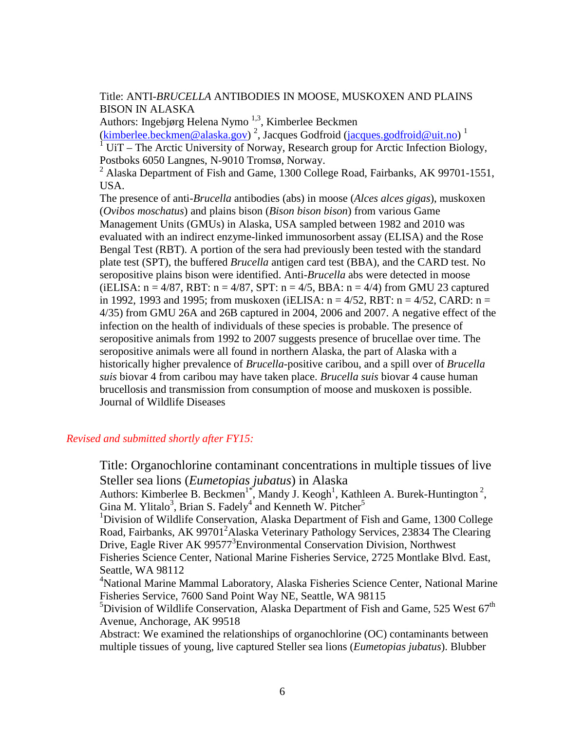Title: ANTI-*BRUCELLA* ANTIBODIES IN MOOSE, MUSKOXEN AND PLAINS BISON IN ALASKA

Authors: Ingebjørg Helena Nymo<sup>1,3</sup>, Kimberlee Beckmen [\(kimberlee.beckmen@alaska.gov\)](mailto:kimberlee.beckmen@alaska.gov)<sup>2</sup>, Jacques Godfroid [\(jacques.godfroid@uit.no\)](mailto:Jacques.godfroid@uit.no)<sup>1</sup>  $1$  UiT – The Arctic University of Norway, Research group for Arctic Infection Biology, Postboks 6050 Langnes, N-9010 Tromsø, Norway.

<sup>2</sup> Alaska Department of Fish and Game, 1300 College Road, Fairbanks, AK 99701-1551, USA.

The presence of anti-*Brucella* antibodies (abs) in moose (*Alces alces gigas*), muskoxen (*Ovibos moschatus*) and plains bison (*Bison bison bison*) from various Game Management Units (GMUs) in Alaska, USA sampled between 1982 and 2010 was evaluated with an indirect enzyme-linked immunosorbent assay (ELISA) and the Rose Bengal Test (RBT). A portion of the sera had previously been tested with the standard plate test (SPT), the buffered *Brucella* antigen card test (BBA), and the CARD test. No seropositive plains bison were identified. Anti-*Brucella* abs were detected in moose (iELISA:  $n = 4/87$ , RBT:  $n = 4/87$ , SPT:  $n = 4/5$ , BBA:  $n = 4/4$ ) from GMU 23 captured in 1992, 1993 and 1995; from muskoxen (iELISA:  $n = 4/52$ , RBT:  $n = 4/52$ , CARD:  $n =$ 4/35) from GMU 26A and 26B captured in 2004, 2006 and 2007. A negative effect of the infection on the health of individuals of these species is probable. The presence of seropositive animals from 1992 to 2007 suggests presence of brucellae over time. The seropositive animals were all found in northern Alaska, the part of Alaska with a historically higher prevalence of *Brucella*-positive caribou, and a spill over of *Brucella suis* biovar 4 from caribou may have taken place. *Brucella suis* biovar 4 cause human brucellosis and transmission from consumption of moose and muskoxen is possible. Journal of Wildlife Diseases

# *Revised and submitted shortly after FY15:*

Title: Organochlorine contaminant concentrations in multiple tissues of live Steller sea lions (*Eumetopias jubatus*) in Alaska Authors: Kimberlee B. Beckmen<sup>1\*</sup>, Mandy J. Keogh<sup>1</sup>, Kathleen A. Burek-Huntington<sup>2</sup>, Gina M. Ylitalo<sup>3</sup>, Brian S. Fadely<sup>4</sup> and Kenneth W. Pitcher<sup>5</sup> <sup>1</sup>Division of Wildlife Conservation, Alaska Department of Fish and Game, 1300 College Road, Fairbanks, AK 99701<sup>2</sup> Alaska Veterinary Pathology Services, 23834 The Clearing Drive, Eagle River AK 99577<sup>3</sup> Environmental Conservation Division, Northwest Fisheries Science Center, National Marine Fisheries Service, 2725 Montlake Blvd. East, Seattle, WA 98112 4 National Marine Mammal Laboratory, Alaska Fisheries Science Center, National Marine Fisheries Service, 7600 Sand Point Way NE, Seattle, WA 98115 <sup>5</sup>Division of Wildlife Conservation, Alaska Department of Fish and Game, 525 West  $67<sup>th</sup>$ Avenue, Anchorage, AK 99518 Abstract: We examined the relationships of organochlorine (OC) contaminants between multiple tissues of young, live captured Steller sea lions (*Eumetopias jubatus*). Blubber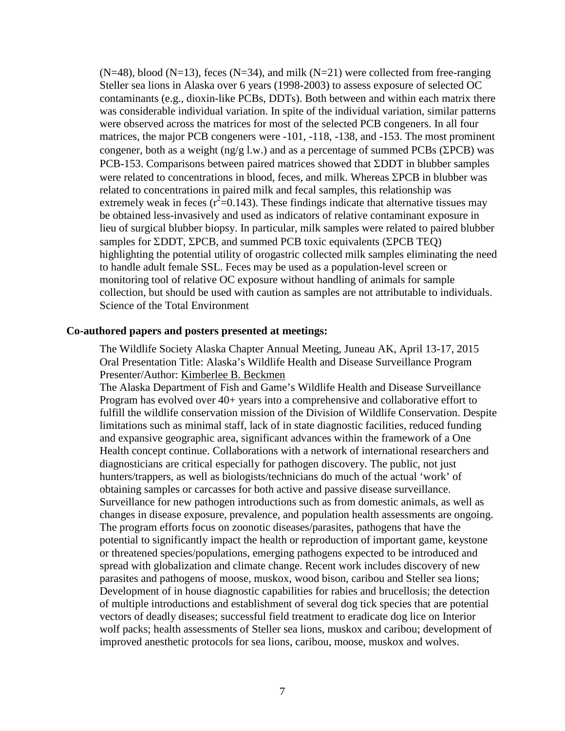$(N=48)$ , blood  $(N=13)$ , feces  $(N=34)$ , and milk  $(N=21)$  were collected from free-ranging Steller sea lions in Alaska over 6 years (1998-2003) to assess exposure of selected OC contaminants (e.g., dioxin-like PCBs, DDTs). Both between and within each matrix there was considerable individual variation. In spite of the individual variation, similar patterns were observed across the matrices for most of the selected PCB congeners. In all four matrices, the major PCB congeners were -101, -118, -138, and -153. The most prominent congener, both as a weight (ng/g l.w.) and as a percentage of summed PCBs ( $\Sigma$ PCB) was PCB-153. Comparisons between paired matrices showed that ΣDDT in blubber samples were related to concentrations in blood, feces, and milk. Whereas ΣPCB in blubber was related to concentrations in paired milk and fecal samples, this relationship was extremely weak in feces ( $r^2$ =0.143). These findings indicate that alternative tissues may be obtained less-invasively and used as indicators of relative contaminant exposure in lieu of surgical blubber biopsy. In particular, milk samples were related to paired blubber samples for ΣDDT, ΣPCB, and summed PCB toxic equivalents (ΣPCB TEQ) highlighting the potential utility of orogastric collected milk samples eliminating the need to handle adult female SSL. Feces may be used as a population-level screen or monitoring tool of relative OC exposure without handling of animals for sample collection, but should be used with caution as samples are not attributable to individuals. Science of the Total Environment

#### **Co-authored papers and posters presented at meetings:**

The Wildlife Society Alaska Chapter Annual Meeting, Juneau AK, April 13-17, 2015 Oral Presentation Title: Alaska's Wildlife Health and Disease Surveillance Program Presenter/Author: Kimberlee B. Beckmen

The Alaska Department of Fish and Game's Wildlife Health and Disease Surveillance Program has evolved over 40+ years into a comprehensive and collaborative effort to fulfill the wildlife conservation mission of the Division of Wildlife Conservation. Despite limitations such as minimal staff, lack of in state diagnostic facilities, reduced funding and expansive geographic area, significant advances within the framework of a One Health concept continue. Collaborations with a network of international researchers and diagnosticians are critical especially for pathogen discovery. The public, not just hunters/trappers, as well as biologists/technicians do much of the actual 'work' of obtaining samples or carcasses for both active and passive disease surveillance. Surveillance for new pathogen introductions such as from domestic animals, as well as changes in disease exposure, prevalence, and population health assessments are ongoing. The program efforts focus on zoonotic diseases/parasites, pathogens that have the potential to significantly impact the health or reproduction of important game, keystone or threatened species/populations, emerging pathogens expected to be introduced and spread with globalization and climate change. Recent work includes discovery of new parasites and pathogens of moose, muskox, wood bison, caribou and Steller sea lions; Development of in house diagnostic capabilities for rabies and brucellosis; the detection of multiple introductions and establishment of several dog tick species that are potential vectors of deadly diseases; successful field treatment to eradicate dog lice on Interior wolf packs; health assessments of Steller sea lions, muskox and caribou; development of improved anesthetic protocols for sea lions, caribou, moose, muskox and wolves.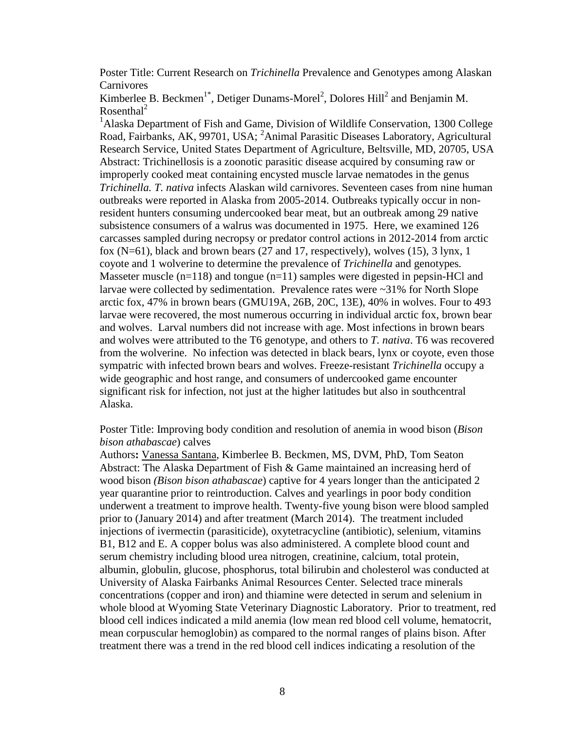Poster Title: Current Research on *Trichinella* Prevalence and Genotypes among Alaskan **Carnivores** 

Kimberlee B. Beckmen<sup>1\*</sup>, Detiger Dunams-Morel<sup>2</sup>, Dolores Hill<sup>2</sup> and Benjamin M. Rosenthal<sup>2</sup>

<sup>1</sup>Alaska Department of Fish and Game, Division of Wildlife Conservation, 1300 College Road, Fairbanks, AK, 99701, USA; <sup>2</sup>Animal Parasitic Diseases Laboratory, Agricultural Research Service, United States Department of Agriculture, Beltsville, MD, 20705, USA Abstract: Trichinellosis is a zoonotic parasitic disease acquired by consuming raw or improperly cooked meat containing encysted muscle larvae nematodes in the genus *Trichinella. T. nativa* infects Alaskan wild carnivores. Seventeen cases from nine human outbreaks were reported in Alaska from 2005-2014. Outbreaks typically occur in nonresident hunters consuming undercooked bear meat, but an outbreak among 29 native subsistence consumers of a walrus was documented in 1975. Here, we examined 126 carcasses sampled during necropsy or predator control actions in 2012-2014 from arctic fox (N=61), black and brown bears (27 and 17, respectively), wolves (15), 3 lynx, 1 coyote and 1 wolverine to determine the prevalence of *Trichinella* and genotypes*.*  Masseter muscle  $(n=118)$  and tongue  $(n=11)$  samples were digested in pepsin-HCl and larvae were collected by sedimentation. Prevalence rates were ~31% for North Slope arctic fox, 47% in brown bears (GMU19A, 26B, 20C, 13E), 40% in wolves. Four to 493 larvae were recovered, the most numerous occurring in individual arctic fox, brown bear and wolves. Larval numbers did not increase with age. Most infections in brown bears and wolves were attributed to the T6 genotype, and others to *T. nativa*. T6 was recovered from the wolverine. No infection was detected in black bears, lynx or coyote, even those sympatric with infected brown bears and wolves. Freeze-resistant *Trichinella* occupy a wide geographic and host range, and consumers of undercooked game encounter significant risk for infection, not just at the higher latitudes but also in southcentral Alaska.

Poster Title: Improving body condition and resolution of anemia in wood bison (*Bison bison athabascae*) calves

Authors**:** Vanessa Santana, Kimberlee B. Beckmen, MS, DVM, PhD, Tom Seaton Abstract: The Alaska Department of Fish & Game maintained an increasing herd of wood bison *(Bison bison athabascae*) captive for 4 years longer than the anticipated 2 year quarantine prior to reintroduction. Calves and yearlings in poor body condition underwent a treatment to improve health. Twenty-five young bison were blood sampled prior to (January 2014) and after treatment (March 2014). The treatment included injections of ivermectin (parasiticide), oxytetracycline (antibiotic), selenium, vitamins B1, B12 and E. A copper bolus was also administered. A complete blood count and serum chemistry including blood urea nitrogen, creatinine, calcium, total protein, albumin, globulin, glucose, phosphorus, total bilirubin and cholesterol was conducted at University of Alaska Fairbanks Animal Resources Center. Selected trace minerals concentrations (copper and iron) and thiamine were detected in serum and selenium in whole blood at Wyoming State Veterinary Diagnostic Laboratory. Prior to treatment, red blood cell indices indicated a mild anemia (low mean red blood cell volume, hematocrit, mean corpuscular hemoglobin) as compared to the normal ranges of plains bison. After treatment there was a trend in the red blood cell indices indicating a resolution of the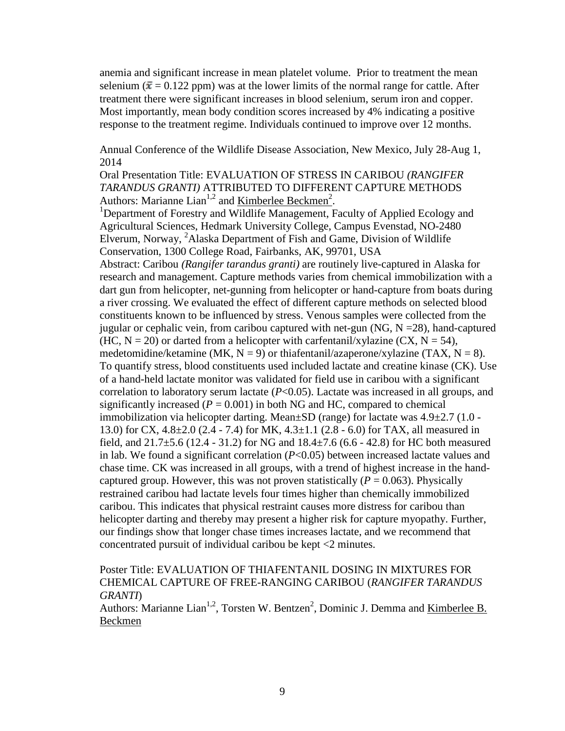anemia and significant increase in mean platelet volume. Prior to treatment the mean selenium ( $\bar{x}$  = 0.122 ppm) was at the lower limits of the normal range for cattle. After treatment there were significant increases in blood selenium, serum iron and copper. Most importantly, mean body condition scores increased by 4% indicating a positive response to the treatment regime. Individuals continued to improve over 12 months.

Annual Conference of the Wildlife Disease Association, New Mexico, July 28-Aug 1, 2014

Oral Presentation Title: EVALUATION OF STRESS IN CARIBOU *(RANGIFER TARANDUS GRANTI)* ATTRIBUTED TO DIFFERENT CAPTURE METHODS Authors: Marianne Lian<sup>1,2</sup> and <u>Kimberlee Beckmen<sup>2</sup></u>.<br><sup>1</sup>Department of Escostry and Wildlife Management, L

<sup>1</sup>Department of Forestry and Wildlife Management, Faculty of Applied Ecology and Agricultural Sciences, Hedmark University College, Campus Evenstad, NO-2480 Elverum, Norway, <sup>2</sup>Alaska Department of Fish and Game, Division of Wildlife Conservation, 1300 College Road, Fairbanks, AK, 99701, USA

Abstract: Caribou *(Rangifer tarandus granti)* are routinely live-captured in Alaska for research and management. Capture methods varies from chemical immobilization with a dart gun from helicopter, net-gunning from helicopter or hand-capture from boats during a river crossing. We evaluated the effect of different capture methods on selected blood constituents known to be influenced by stress. Venous samples were collected from the jugular or cephalic vein, from caribou captured with net-gun (NG,  $N = 28$ ), hand-captured (HC,  $N = 20$ ) or darted from a helicopter with carfentanil/xylazine (CX,  $N = 54$ ), medetomidine/ketamine (MK,  $N = 9$ ) or thiafentanil/azaperone/xylazine (TAX,  $N = 8$ ). To quantify stress, blood constituents used included lactate and creatine kinase (CK). Use of a hand-held lactate monitor was validated for field use in caribou with a significant correlation to laboratory serum lactate (*P*<0.05). Lactate was increased in all groups, and significantly increased  $(P = 0.001)$  in both NG and HC, compared to chemical immobilization via helicopter darting. Mean±SD (range) for lactate was 4.9±2.7 (1.0 - 13.0) for CX, 4.8±2.0 (2.4 - 7.4) for MK, 4.3±1.1 (2.8 - 6.0) for TAX, all measured in field, and  $21.7\pm5.6$  (12.4 - 31.2) for NG and  $18.4\pm7.6$  (6.6 - 42.8) for HC both measured in lab. We found a significant correlation (*P*<0.05) between increased lactate values and chase time. CK was increased in all groups, with a trend of highest increase in the handcaptured group. However, this was not proven statistically  $(P = 0.063)$ . Physically restrained caribou had lactate levels four times higher than chemically immobilized caribou. This indicates that physical restraint causes more distress for caribou than helicopter darting and thereby may present a higher risk for capture myopathy. Further, our findings show that longer chase times increases lactate, and we recommend that concentrated pursuit of individual caribou be kept <2 minutes.

# Poster Title: EVALUATION OF THIAFENTANIL DOSING IN MIXTURES FOR CHEMICAL CAPTURE OF FREE-RANGING CARIBOU (*RANGIFER TARANDUS GRANTI*)

Authors: Marianne Lian<sup>1,2</sup>, Torsten W. Bentzen<sup>2</sup>, Dominic J. Demma and <u>Kimberlee B.</u> Beckmen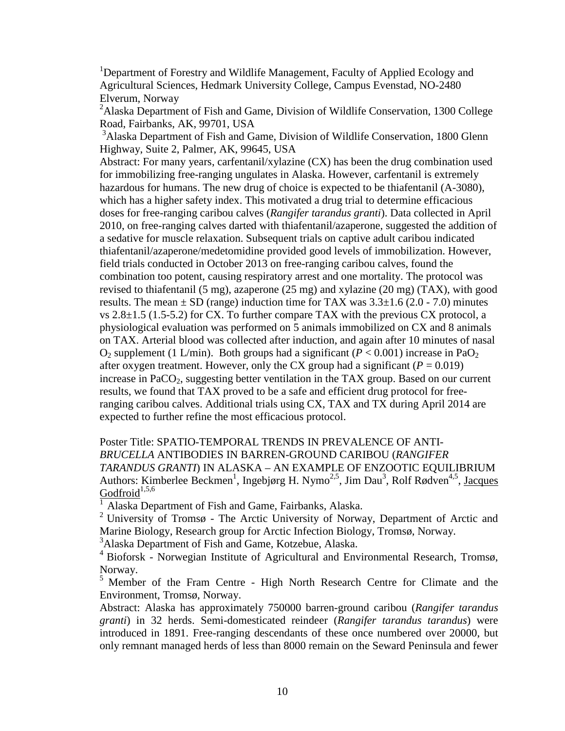<sup>1</sup>Department of Forestry and Wildlife Management, Faculty of Applied Ecology and Agricultural Sciences, Hedmark University College, Campus Evenstad, NO-2480 Elverum, Norway

<sup>2</sup>Alaska Department of Fish and Game, Division of Wildlife Conservation, 1300 College Road, Fairbanks, AK, 99701, USA

<sup>3</sup>Alaska Department of Fish and Game, Division of Wildlife Conservation, 1800 Glenn Highway, Suite 2, Palmer, AK, 99645, USA

Abstract: For many years, carfentanil/xylazine (CX) has been the drug combination used for immobilizing free-ranging ungulates in Alaska. However, carfentanil is extremely hazardous for humans. The new drug of choice is expected to be thiafentanil (A-3080), which has a higher safety index. This motivated a drug trial to determine efficacious doses for free-ranging caribou calves (*Rangifer tarandus granti*). Data collected in April 2010, on free-ranging calves darted with thiafentanil/azaperone, suggested the addition of a sedative for muscle relaxation. Subsequent trials on captive adult caribou indicated thiafentanil/azaperone/medetomidine provided good levels of immobilization. However, field trials conducted in October 2013 on free-ranging caribou calves, found the combination too potent, causing respiratory arrest and one mortality. The protocol was revised to thiafentanil (5 mg), azaperone (25 mg) and xylazine (20 mg) (TAX), with good results. The mean  $\pm$  SD (range) induction time for TAX was  $3.3\pm1.6$  (2.0 - 7.0) minutes vs 2.8±1.5 (1.5-5.2) for CX. To further compare TAX with the previous CX protocol, a physiological evaluation was performed on 5 animals immobilized on CX and 8 animals on TAX. Arterial blood was collected after induction, and again after 10 minutes of nasal  $O_2$  supplement (1 L/min). Both groups had a significant ( $P < 0.001$ ) increase in Pa $O_2$ after oxygen treatment. However, only the CX group had a significant ( $P = 0.019$ ) increase in PaCO<sub>2</sub>, suggesting better ventilation in the TAX group. Based on our current results, we found that TAX proved to be a safe and efficient drug protocol for freeranging caribou calves. Additional trials using CX, TAX and TX during April 2014 are expected to further refine the most efficacious protocol.

Poster Title: SPATIO-TEMPORAL TRENDS IN PREVALENCE OF ANTI-*BRUCELLA* ANTIBODIES IN BARREN-GROUND CARIBOU (*RANGIFER TARANDUS GRANTI*) IN ALASKA – AN EXAMPLE OF ENZOOTIC EQUILIBRIUM Authors: Kimberlee Beckmen<sup>1</sup>, Ingebjørg H. Nymo<sup>2,5</sup>, Jim Dau<sup>3</sup>, Rolf Rødven<sup>4,5</sup>, Jacques  $Godfroid<sup>1,5,6</sup>$ 

1 Alaska Department of Fish and Game, Fairbanks, Alaska.

<sup>2</sup> University of Tromsø - The Arctic University of Norway, Department of Arctic and Marine Biology, Research group for Arctic Infection Biology, Tromsø, Norway.

3 Alaska Department of Fish and Game, Kotzebue, Alaska.

4 Bioforsk - Norwegian Institute of Agricultural and Environmental Research, Tromsø, Norway.

<sup>5</sup> Member of the Fram Centre - High North Research Centre for Climate and the Environment, Tromsø, Norway.

Abstract: Alaska has approximately 750000 barren-ground caribou (*Rangifer tarandus granti*) in 32 herds. Semi-domesticated reindeer (*Rangifer tarandus tarandus*) were introduced in 1891. Free-ranging descendants of these once numbered over 20000, but only remnant managed herds of less than 8000 remain on the Seward Peninsula and fewer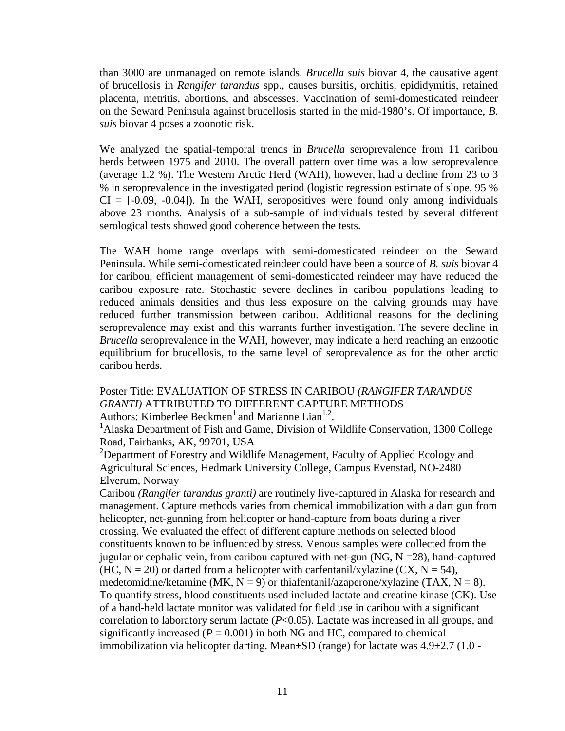than 3000 are unmanaged on remote islands. *Brucella suis* biovar 4, the causative agent of brucellosis in *Rangifer tarandus* spp., causes bursitis, orchitis, epididymitis, retained placenta, metritis, abortions, and abscesses. Vaccination of semi-domesticated reindeer on the Seward Peninsula against brucellosis started in the mid-1980's. Of importance, *B. suis* biovar 4 poses a zoonotic risk.

We analyzed the spatial-temporal trends in *Brucella* seroprevalence from 11 caribou herds between 1975 and 2010. The overall pattern over time was a low seroprevalence (average 1.2 %). The Western Arctic Herd (WAH), however, had a decline from 23 to 3 % in seroprevalence in the investigated period (logistic regression estimate of slope, 95 %  $CI = [-0.09, -0.04]$ . In the WAH, seropositives were found only among individuals above 23 months. Analysis of a sub-sample of individuals tested by several different serological tests showed good coherence between the tests.

The WAH home range overlaps with semi-domesticated reindeer on the Seward Peninsula. While semi-domesticated reindeer could have been a source of *B. suis* biovar 4 for caribou, efficient management of semi-domesticated reindeer may have reduced the caribou exposure rate. Stochastic severe declines in caribou populations leading to reduced animals densities and thus less exposure on the calving grounds may have reduced further transmission between caribou. Additional reasons for the declining seroprevalence may exist and this warrants further investigation. The severe decline in *Brucella* seroprevalence in the WAH, however, may indicate a herd reaching an enzootic equilibrium for brucellosis, to the same level of seroprevalence as for the other arctic caribou herds.

Poster Title: EVALUATION OF STRESS IN CARIBOU *(RANGIFER TARANDUS GRANTI)* ATTRIBUTED TO DIFFERENT CAPTURE METHODS Authors: Kimberlee Beckmen<sup>1</sup> and Marianne Lian<sup>1,2</sup>.

<sup>1</sup>Alaska Department of Fish and Game, Division of Wildlife Conservation, 1300 College Road, Fairbanks, AK, 99701, USA

 $2$ Department of Forestry and Wildlife Management, Faculty of Applied Ecology and Agricultural Sciences, Hedmark University College, Campus Evenstad, NO-2480 Elverum, Norway

Caribou *(Rangifer tarandus granti)* are routinely live-captured in Alaska for research and management. Capture methods varies from chemical immobilization with a dart gun from helicopter, net-gunning from helicopter or hand-capture from boats during a river crossing. We evaluated the effect of different capture methods on selected blood constituents known to be influenced by stress. Venous samples were collected from the jugular or cephalic vein, from caribou captured with net-gun (NG,  $N = 28$ ), hand-captured (HC,  $N = 20$ ) or darted from a helicopter with carfentanil/xylazine (CX,  $N = 54$ ), medetomidine/ketamine (MK,  $N = 9$ ) or thiafentanil/azaperone/xylazine (TAX,  $N = 8$ ). To quantify stress, blood constituents used included lactate and creatine kinase (CK). Use of a hand-held lactate monitor was validated for field use in caribou with a significant correlation to laboratory serum lactate (*P*<0.05). Lactate was increased in all groups, and significantly increased  $(P = 0.001)$  in both NG and HC, compared to chemical immobilization via helicopter darting. Mean±SD (range) for lactate was 4.9±2.7 (1.0 -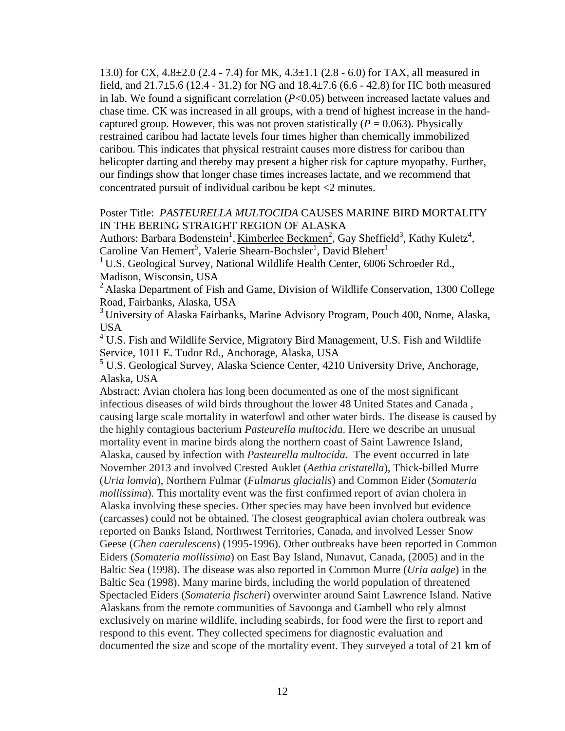13.0) for CX, 4.8±2.0 (2.4 - 7.4) for MK, 4.3±1.1 (2.8 - 6.0) for TAX, all measured in field, and 21.7±5.6 (12.4 - 31.2) for NG and 18.4±7.6 (6.6 - 42.8) for HC both measured in lab. We found a significant correlation (*P*<0.05) between increased lactate values and chase time. CK was increased in all groups, with a trend of highest increase in the handcaptured group. However, this was not proven statistically  $(P = 0.063)$ . Physically restrained caribou had lactate levels four times higher than chemically immobilized caribou. This indicates that physical restraint causes more distress for caribou than helicopter darting and thereby may present a higher risk for capture myopathy. Further, our findings show that longer chase times increases lactate, and we recommend that concentrated pursuit of individual caribou be kept <2 minutes.

### Poster Title: *PASTEURELLA MULTOCIDA* CAUSES MARINE BIRD MORTALITY IN THE BERING STRAIGHT REGION OF ALASKA

Authors: Barbara Bodenstein<sup>1</sup>, <u>Kimberlee Beckmen<sup>2</sup></u>, Gay Sheffield<sup>3</sup>, Kathy Kuletz<sup>4</sup>, Caroline Van Hemert<sup>5</sup>, Valerie Shearn-Bochsler<sup>1</sup>, David Blehert<sup>1</sup>

<sup>1</sup> U.S. Geological Survey, National Wildlife Health Center, 6006 Schroeder Rd., Madison, Wisconsin, USA

 $2$  Alaska Department of Fish and Game, Division of Wildlife Conservation, 1300 College Road, Fairbanks, Alaska, USA

<sup>3</sup> University of Alaska Fairbanks, Marine Advisory Program, Pouch 400, Nome, Alaska, USA

 $4$  U.S. Fish and Wildlife Service, Migratory Bird Management, U.S. Fish and Wildlife Service, 1011 E. Tudor Rd., Anchorage, Alaska, USA

<sup>5</sup> U.S. Geological Survey, Alaska Science Center, 4210 University Drive, Anchorage, Alaska, USA

Abstract: Avian cholera has long been documented as one of the most significant infectious diseases of wild birds throughout the lower 48 United States and Canada , causing large scale mortality in waterfowl and other water birds. The disease is caused by the highly contagious bacterium *Pasteurella multocida*. Here we describe an unusual mortality event in marine birds along the northern coast of Saint Lawrence Island, Alaska, caused by infection with *Pasteurella multocida.* The event occurred in late November 2013 and involved Crested Auklet (*Aethia cristatella*), Thick-billed Murre (*Uria lomvia*), Northern Fulmar (*Fulmarus glacialis*) and Common Eider (*Somateria mollissima*). This mortality event was the first confirmed report of avian cholera in Alaska involving these species. Other species may have been involved but evidence (carcasses) could not be obtained. The closest geographical avian cholera outbreak was reported on Banks Island, Northwest Territories, Canada, and involved Lesser Snow Geese (*Chen caerulescens*) (1995-1996). Other outbreaks have been reported in Common Eiders (*Somateria mollissima*) on East Bay Island, Nunavut, Canada, (2005) and in the Baltic Sea (1998). The disease was also reported in Common Murre (*Uria aalge*) in the Baltic Sea (1998). Many marine birds, including the world population of threatened Spectacled Eiders (*Somateria fischeri*) overwinter around Saint Lawrence Island. Native Alaskans from the remote communities of Savoonga and Gambell who rely almost exclusively on marine wildlife, including seabirds, for food were the first to report and respond to this event. They collected specimens for diagnostic evaluation and documented the size and scope of the mortality event. They surveyed a total of 21 km of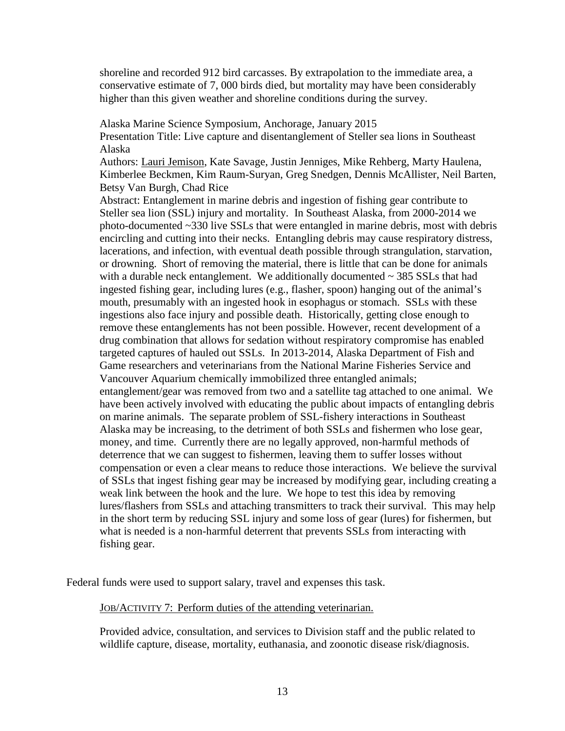shoreline and recorded 912 bird carcasses. By extrapolation to the immediate area, a conservative estimate of 7, 000 birds died, but mortality may have been considerably higher than this given weather and shoreline conditions during the survey.

Alaska Marine Science Symposium, Anchorage, January 2015

Presentation Title: Live capture and disentanglement of Steller sea lions in Southeast Alaska

Authors: Lauri Jemison, Kate Savage, Justin Jenniges, Mike Rehberg, Marty Haulena, Kimberlee Beckmen, Kim Raum-Suryan, Greg Snedgen, Dennis McAllister, Neil Barten, Betsy Van Burgh, Chad Rice

Abstract: Entanglement in marine debris and ingestion of fishing gear contribute to Steller sea lion (SSL) injury and mortality. In Southeast Alaska, from 2000-2014 we photo-documented ~330 live SSLs that were entangled in marine debris, most with debris encircling and cutting into their necks. Entangling debris may cause respiratory distress, lacerations, and infection, with eventual death possible through strangulation, starvation, or drowning. Short of removing the material, there is little that can be done for animals with a durable neck entanglement. We additionally documented  $\sim$  385 SSLs that had ingested fishing gear, including lures (e.g., flasher, spoon) hanging out of the animal's mouth, presumably with an ingested hook in esophagus or stomach. SSLs with these ingestions also face injury and possible death. Historically, getting close enough to remove these entanglements has not been possible. However, recent development of a drug combination that allows for sedation without respiratory compromise has enabled targeted captures of hauled out SSLs. In 2013-2014, Alaska Department of Fish and Game researchers and veterinarians from the National Marine Fisheries Service and Vancouver Aquarium chemically immobilized three entangled animals; entanglement/gear was removed from two and a satellite tag attached to one animal. We have been actively involved with educating the public about impacts of entangling debris on marine animals. The separate problem of SSL-fishery interactions in Southeast Alaska may be increasing, to the detriment of both SSLs and fishermen who lose gear, money, and time. Currently there are no legally approved, non-harmful methods of deterrence that we can suggest to fishermen, leaving them to suffer losses without compensation or even a clear means to reduce those interactions. We believe the survival of SSLs that ingest fishing gear may be increased by modifying gear, including creating a weak link between the hook and the lure. We hope to test this idea by removing lures/flashers from SSLs and attaching transmitters to track their survival. This may help in the short term by reducing SSL injury and some loss of gear (lures) for fishermen, but what is needed is a non-harmful deterrent that prevents SSLs from interacting with fishing gear.

Federal funds were used to support salary, travel and expenses this task.

#### JOB/ACTIVITY 7: Perform duties of the attending veterinarian.

Provided advice, consultation, and services to Division staff and the public related to wildlife capture, disease, mortality, euthanasia, and zoonotic disease risk/diagnosis.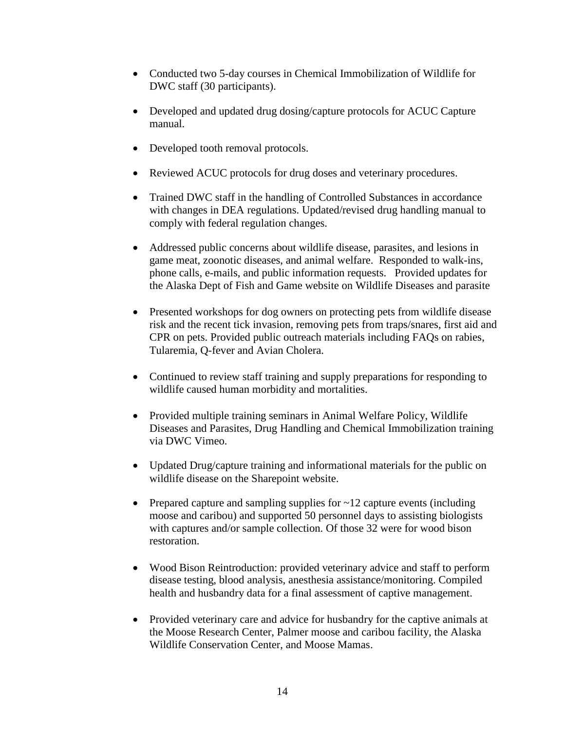- Conducted two 5-day courses in Chemical Immobilization of Wildlife for DWC staff (30 participants).
- Developed and updated drug dosing/capture protocols for ACUC Capture manual.
- Developed tooth removal protocols.
- Reviewed ACUC protocols for drug doses and veterinary procedures.
- Trained DWC staff in the handling of Controlled Substances in accordance with changes in DEA regulations. Updated/revised drug handling manual to comply with federal regulation changes.
- Addressed public concerns about wildlife disease, parasites, and lesions in game meat, zoonotic diseases, and animal welfare. Responded to walk-ins, phone calls, e-mails, and public information requests. Provided updates for the Alaska Dept of Fish and Game website on Wildlife Diseases and parasite
- Presented workshops for dog owners on protecting pets from wildlife disease risk and the recent tick invasion, removing pets from traps/snares, first aid and CPR on pets. Provided public outreach materials including FAQs on rabies, Tularemia, Q-fever and Avian Cholera.
- Continued to review staff training and supply preparations for responding to wildlife caused human morbidity and mortalities.
- Provided multiple training seminars in Animal Welfare Policy, Wildlife Diseases and Parasites, Drug Handling and Chemical Immobilization training via DWC Vimeo.
- Updated Drug/capture training and informational materials for the public on wildlife disease on the Sharepoint website.
- Prepared capture and sampling supplies for  $\sim$  12 capture events (including moose and caribou) and supported 50 personnel days to assisting biologists with captures and/or sample collection. Of those 32 were for wood bison restoration.
- Wood Bison Reintroduction: provided veterinary advice and staff to perform disease testing, blood analysis, anesthesia assistance/monitoring. Compiled health and husbandry data for a final assessment of captive management.
- Provided veterinary care and advice for husbandry for the captive animals at the Moose Research Center, Palmer moose and caribou facility, the Alaska Wildlife Conservation Center, and Moose Mamas.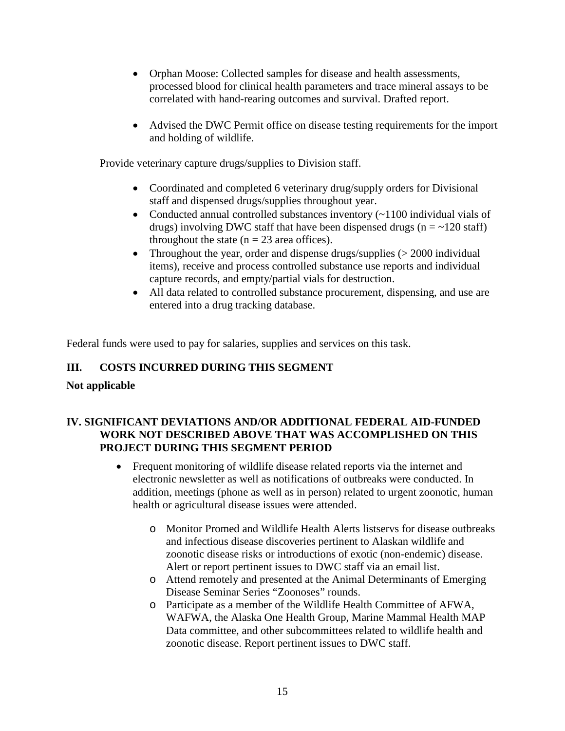- Orphan Moose: Collected samples for disease and health assessments, processed blood for clinical health parameters and trace mineral assays to be correlated with hand-rearing outcomes and survival. Drafted report.
- Advised the DWC Permit office on disease testing requirements for the import and holding of wildlife.

Provide veterinary capture drugs/supplies to Division staff.

- Coordinated and completed 6 veterinary drug/supply orders for Divisional staff and dispensed drugs/supplies throughout year.
- Conducted annual controlled substances inventory (~1100 individual vials of drugs) involving DWC staff that have been dispensed drugs ( $n = -120$  staff) throughout the state  $(n = 23 \text{ area of } f$ .
- Throughout the year, order and dispense drugs/supplies (> 2000 individual items), receive and process controlled substance use reports and individual capture records, and empty/partial vials for destruction.
- All data related to controlled substance procurement, dispensing, and use are entered into a drug tracking database.

Federal funds were used to pay for salaries, supplies and services on this task.

# **III. COSTS INCURRED DURING THIS SEGMENT**

# **Not applicable**

# **IV. SIGNIFICANT DEVIATIONS AND/OR ADDITIONAL FEDERAL AID-FUNDED WORK NOT DESCRIBED ABOVE THAT WAS ACCOMPLISHED ON THIS PROJECT DURING THIS SEGMENT PERIOD**

- Frequent monitoring of wildlife disease related reports via the internet and electronic newsletter as well as notifications of outbreaks were conducted. In addition, meetings (phone as well as in person) related to urgent zoonotic, human health or agricultural disease issues were attended.
	- o Monitor Promed and Wildlife Health Alerts listservs for disease outbreaks and infectious disease discoveries pertinent to Alaskan wildlife and zoonotic disease risks or introductions of exotic (non-endemic) disease. Alert or report pertinent issues to DWC staff via an email list.
	- o Attend remotely and presented at the Animal Determinants of Emerging Disease Seminar Series "Zoonoses" rounds.
	- o Participate as a member of the Wildlife Health Committee of AFWA, WAFWA, the Alaska One Health Group, Marine Mammal Health MAP Data committee, and other subcommittees related to wildlife health and zoonotic disease. Report pertinent issues to DWC staff.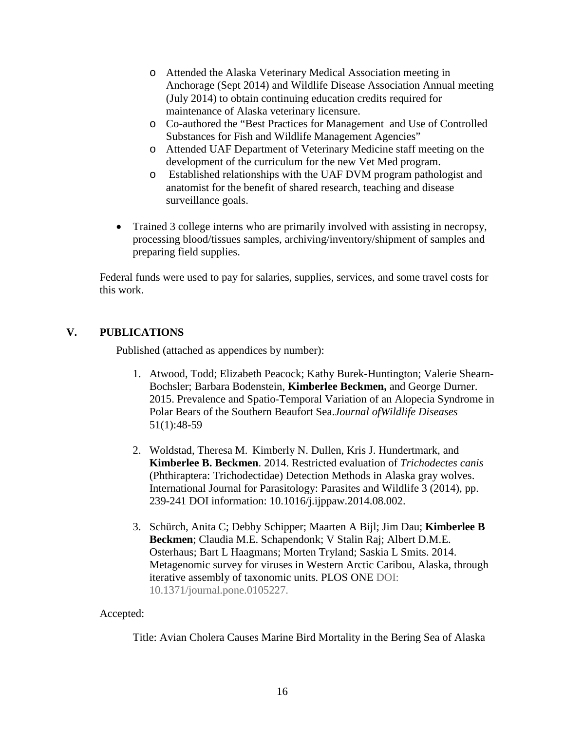- o Attended the Alaska Veterinary Medical Association meeting in Anchorage (Sept 2014) and Wildlife Disease Association Annual meeting (July 2014) to obtain continuing education credits required for maintenance of Alaska veterinary licensure.
- o Co-authored the "Best Practices for Management and Use of Controlled Substances for Fish and Wildlife Management Agencies"
- o Attended UAF Department of Veterinary Medicine staff meeting on the development of the curriculum for the new Vet Med program.
- o Established relationships with the UAF DVM program pathologist and anatomist for the benefit of shared research, teaching and disease surveillance goals.
- Trained 3 college interns who are primarily involved with assisting in necropsy, processing blood/tissues samples, archiving/inventory/shipment of samples and preparing field supplies.

Federal funds were used to pay for salaries, supplies, services, and some travel costs for this work.

# **V. PUBLICATIONS**

Published (attached as appendices by number):

- 1. Atwood, Todd; Elizabeth Peacock; Kathy Burek-Huntington; Valerie Shearn-Bochsler; Barbara Bodenstein, **Kimberlee Beckmen,** and George Durner. 2015. Prevalence and Spatio-Temporal Variation of an Alopecia Syndrome in Polar Bears of the Southern Beaufort Sea.*Journal ofWildlife Diseases*  51(1):48-59
- 2. Woldstad, Theresa M. Kimberly N. Dullen, Kris J. Hundertmark, and **Kimberlee B. Beckmen**. 2014. Restricted evaluation of *Trichodectes canis* (Phthiraptera: Trichodectidae) Detection Methods in Alaska gray wolves. International Journal for Parasitology: Parasites and Wildlife 3 (2014), pp. 239-241 DOI information: 10.1016/j.ijppaw.2014.08.002.
- 3. Schürch, Anita C; Debby Schipper; Maarten A Bijl; Jim Dau; **Kimberlee B Beckmen**; Claudia M.E. Schapendonk; V Stalin Raj; Albert D.M.E. Osterhaus; Bart L Haagmans; Morten Tryland; Saskia L Smits. 2014. Metagenomic survey for viruses in Western Arctic Caribou, Alaska, through iterative assembly of taxonomic units. PLOS ONE DOI: 10.1371/journal.pone.0105227.

# Accepted:

Title: Avian Cholera Causes Marine Bird Mortality in the Bering Sea of Alaska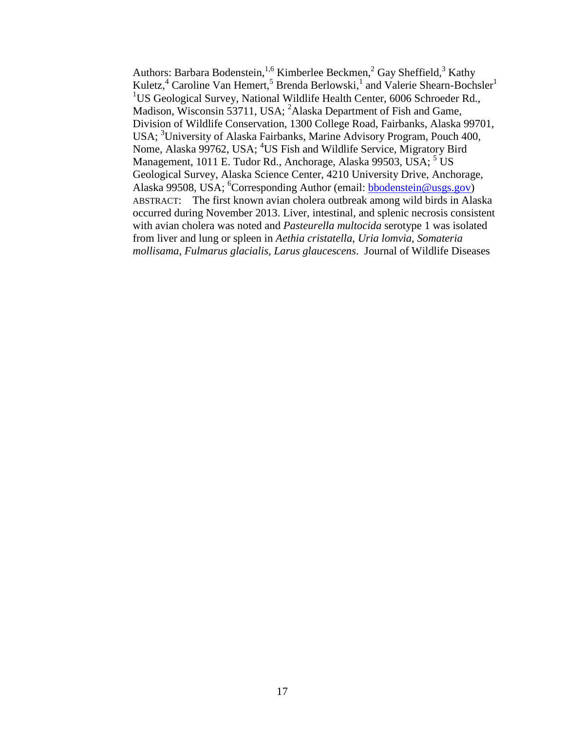Authors: Barbara Bodenstein,  $1,6$  Kimberlee Beckmen,  $2$  Gay Sheffield,  $3$  Kathy Kuletz,<sup>4</sup> Caroline Van Hemert,<sup>5</sup> Brenda Berlowski,<sup>1</sup> and Valerie Shearn-Bochsler<sup>1</sup> <sup>1</sup>US Geological Survey, National Wildlife Health Center, 6006 Schroeder Rd., Madison, Wisconsin 53711, USA; <sup>2</sup>Alaska Department of Fish and Game, Division of Wildlife Conservation, 1300 College Road, Fairbanks, Alaska 99701, USA; <sup>3</sup>University of Alaska Fairbanks, Marine Advisory Program, Pouch 400, Nome, Alaska 99762, USA; <sup>4</sup>US Fish and Wildlife Service, Migratory Bird Management, 1011 E. Tudor Rd., Anchorage, Alaska 99503, USA; <sup>5</sup> US Geological Survey, Alaska Science Center, 4210 University Drive, Anchorage, Alaska 99508, USA; <sup>6</sup>Corresponding Author (email: **bbodenstein@usgs.gov**) ABSTRACT: The first known avian cholera outbreak among wild birds in Alaska occurred during November 2013. Liver, intestinal, and splenic necrosis consistent with avian cholera was noted and *Pasteurella multocida* serotype 1 was isolated from liver and lung or spleen in *Aethia cristatella*, *Uria lomvia*, *Somateria mollisama*, *Fulmarus glacialis, Larus glaucescens*. Journal of Wildlife Diseases